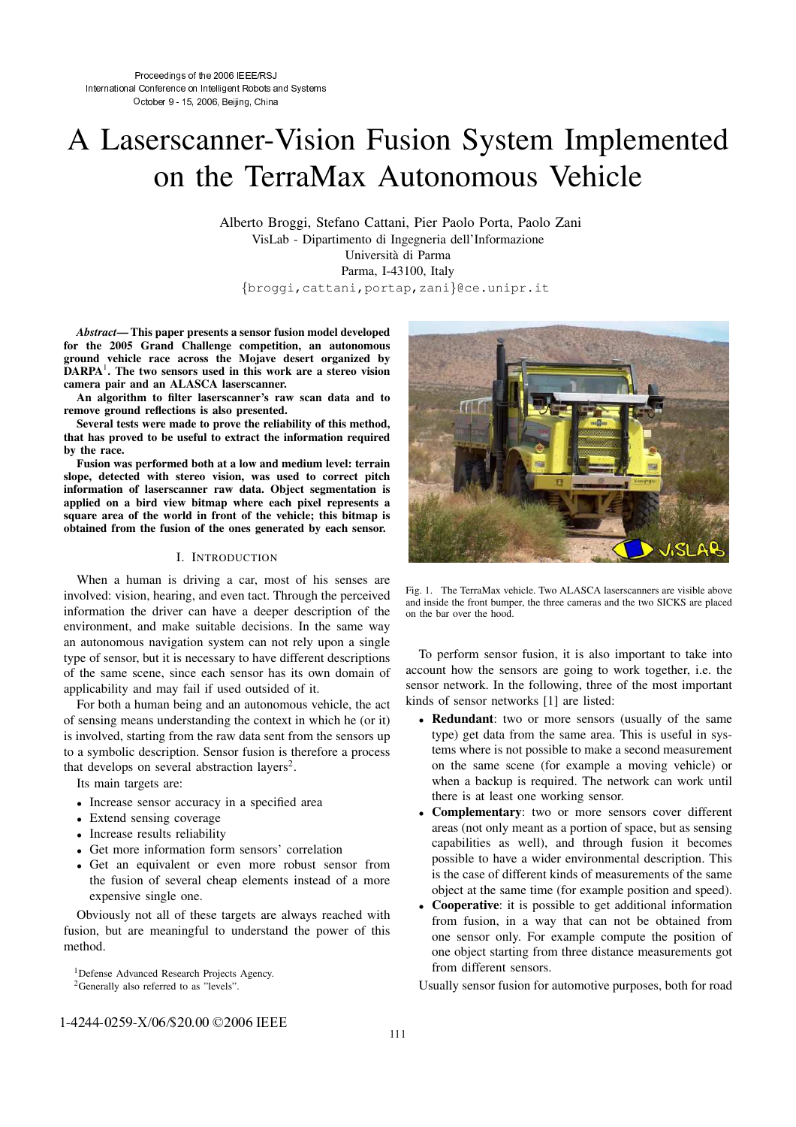# A Laserscanner-Vision Fusion System Implemented on the TerraMax Autonomous Vehicle

Alberto Broggi, Stefano Cattani, Pier Paolo Porta, Paolo Zani VisLab - Dipartimento di Ingegneria dell'Informazione Universita` di Parma Parma, I-43100, Italy {broggi,cattani,portap,zani}@ce.unipr.it

*Abstract*— This paper presents a sensor fusion model developed for the 2005 Grand Challenge competition, an autonomous ground vehicle race across the Mojave desert organized by DARPA<sup>1</sup>. The two sensors used in this work are a stereo vision camera pair and an ALASCA laserscanner.

An algorithm to filter laserscanner's raw scan data and to remove ground reflections is also presented.

Several tests were made to prove the reliability of this method, that has proved to be useful to extract the information required by the race.

Fusion was performed both at a low and medium level: terrain slope, detected with stereo vision, was used to correct pitch information of laserscanner raw data. Object segmentation is applied on a bird view bitmap where each pixel represents a square area of the world in front of the vehicle; this bitmap is obtained from the fusion of the ones generated by each sensor.

# I. INTRODUCTION

When a human is driving a car, most of his senses are involved: vision, hearing, and even tact. Through the perceived information the driver can have a deeper description of the environment, and make suitable decisions. In the same way an autonomous navigation system can not rely upon a single type of sensor, but it is necessary to have different descriptions of the same scene, since each sensor has its own domain of applicability and may fail if used outsided of it.

For both a human being and an autonomous vehicle, the act of sensing means understanding the context in which he (or it) is involved, starting from the raw data sent from the sensors up to a symbolic description. Sensor fusion is therefore a process that develops on several abstraction layers<sup>2</sup>.

Its main targets are:

- Increase sensor accuracy in a specified area
- Extend sensing coverage
- Increase results reliability
- Get more information form sensors' correlation
- Get an equivalent or even more robust sensor from the fusion of several cheap elements instead of a more expensive single one.

Obviously not all of these targets are always reached with fusion, but are meaningful to understand the power of this method.

<sup>1</sup>Defense Advanced Research Projects Agency. <sup>2</sup>Generally also referred to as "levels".



Fig. 1. The TerraMax vehicle. Two ALASCA laserscanners are visible above and inside the front bumper, the three cameras and the two SICKS are placed on the bar over the hood.

To perform sensor fusion, it is also important to take into account how the sensors are going to work together, i.e. the sensor network. In the following, three of the most important kinds of sensor networks [1] are listed:

- Redundant: two or more sensors (usually of the same type) get data from the same area. This is useful in systems where is not possible to make a second measurement on the same scene (for example a moving vehicle) or when a backup is required. The network can work until there is at least one working sensor.
- Complementary: two or more sensors cover different areas (not only meant as a portion of space, but as sensing capabilities as well), and through fusion it becomes possible to have a wider environmental description. This is the case of different kinds of measurements of the same object at the same time (for example position and speed).
- Cooperative: it is possible to get additional information from fusion, in a way that can not be obtained from one sensor only. For example compute the position of one object starting from three distance measurements got from different sensors.

Usually sensor fusion for automotive purposes, both for road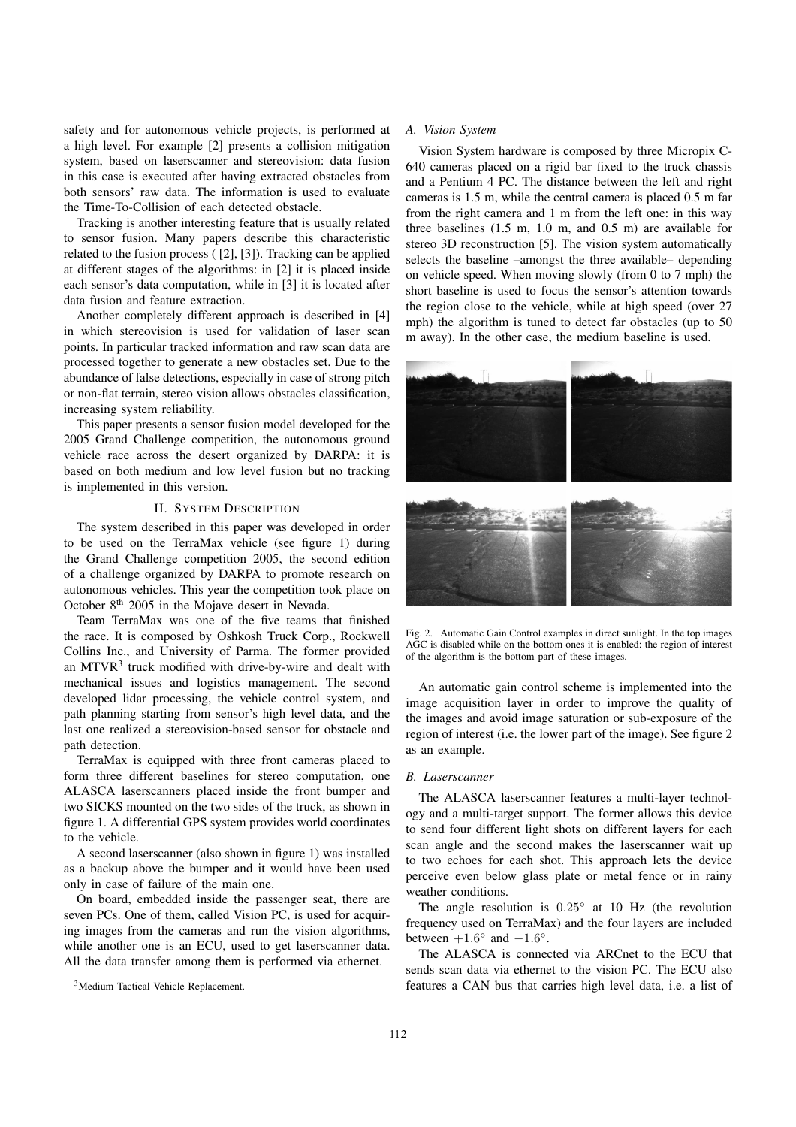safety and for autonomous vehicle projects, is performed at a high level. For example [2] presents a collision mitigation system, based on laserscanner and stereovision: data fusion in this case is executed after having extracted obstacles from both sensors' raw data. The information is used to evaluate the Time-To-Collision of each detected obstacle.

Tracking is another interesting feature that is usually related to sensor fusion. Many papers describe this characteristic related to the fusion process ( [2], [3]). Tracking can be applied at different stages of the algorithms: in [2] it is placed inside each sensor's data computation, while in [3] it is located after data fusion and feature extraction.

Another completely different approach is described in [4] in which stereovision is used for validation of laser scan points. In particular tracked information and raw scan data are processed together to generate a new obstacles set. Due to the abundance of false detections, especially in case of strong pitch or non-flat terrain, stereo vision allows obstacles classification, increasing system reliability.

This paper presents a sensor fusion model developed for the 2005 Grand Challenge competition, the autonomous ground vehicle race across the desert organized by DARPA: it is based on both medium and low level fusion but no tracking is implemented in this version.

# II. SYSTEM DESCRIPTION

The system described in this paper was developed in order to be used on the TerraMax vehicle (see figure 1) during the Grand Challenge competition 2005, the second edition of a challenge organized by DARPA to promote research on autonomous vehicles. This year the competition took place on October 8<sup>th</sup> 2005 in the Mojave desert in Nevada.

Team TerraMax was one of the five teams that finished the race. It is composed by Oshkosh Truck Corp., Rockwell Collins Inc., and University of Parma. The former provided an MTVR<sup>3</sup> truck modified with drive-by-wire and dealt with mechanical issues and logistics management. The second developed lidar processing, the vehicle control system, and path planning starting from sensor's high level data, and the last one realized a stereovision-based sensor for obstacle and path detection.

TerraMax is equipped with three front cameras placed to form three different baselines for stereo computation, one ALASCA laserscanners placed inside the front bumper and two SICKS mounted on the two sides of the truck, as shown in figure 1. A differential GPS system provides world coordinates to the vehicle.

A second laserscanner (also shown in figure 1) was installed as a backup above the bumper and it would have been used only in case of failure of the main one.

On board, embedded inside the passenger seat, there are seven PCs. One of them, called Vision PC, is used for acquiring images from the cameras and run the vision algorithms, while another one is an ECU, used to get laserscanner data. All the data transfer among them is performed via ethernet.

<sup>3</sup>Medium Tactical Vehicle Replacement.

## *A. Vision System*

Vision System hardware is composed by three Micropix C-640 cameras placed on a rigid bar fixed to the truck chassis and a Pentium 4 PC. The distance between the left and right cameras is 1.5 m, while the central camera is placed 0.5 m far from the right camera and 1 m from the left one: in this way three baselines (1.5 m, 1.0 m, and 0.5 m) are available for stereo 3D reconstruction [5]. The vision system automatically selects the baseline –amongst the three available– depending on vehicle speed. When moving slowly (from 0 to 7 mph) the short baseline is used to focus the sensor's attention towards the region close to the vehicle, while at high speed (over 27 mph) the algorithm is tuned to detect far obstacles (up to 50 m away). In the other case, the medium baseline is used.



Fig. 2. Automatic Gain Control examples in direct sunlight. In the top images AGC is disabled while on the bottom ones it is enabled: the region of interest of the algorithm is the bottom part of these images.

An automatic gain control scheme is implemented into the image acquisition layer in order to improve the quality of the images and avoid image saturation or sub-exposure of the region of interest (i.e. the lower part of the image). See figure 2 as an example.

## *B. Laserscanner*

The ALASCA laserscanner features a multi-layer technology and a multi-target support. The former allows this device to send four different light shots on different layers for each scan angle and the second makes the laserscanner wait up to two echoes for each shot. This approach lets the device perceive even below glass plate or metal fence or in rainy weather conditions.

The angle resolution is 0.25◦ at 10 Hz (the revolution frequency used on TerraMax) and the four layers are included between  $+1.6^{\circ}$  and  $-1.6^{\circ}$ .

The ALASCA is connected via ARCnet to the ECU that sends scan data via ethernet to the vision PC. The ECU also features a CAN bus that carries high level data, i.e. a list of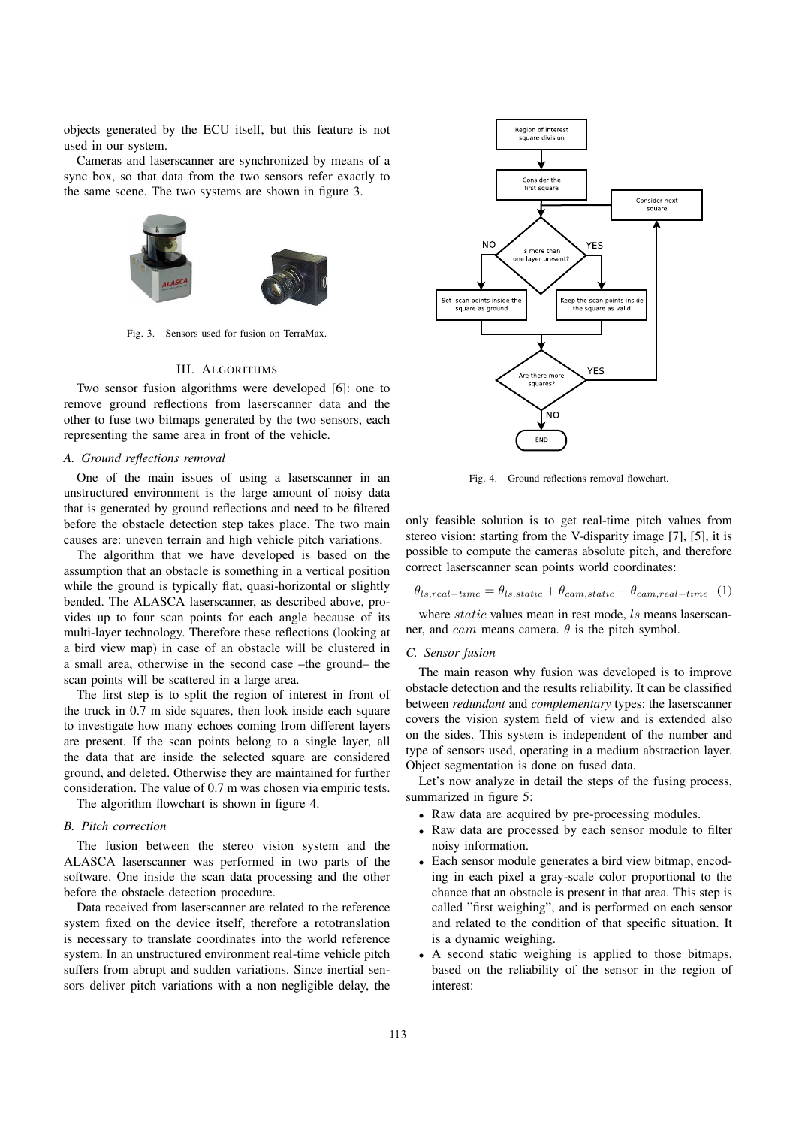objects generated by the ECU itself, but this feature is not used in our system.

Cameras and laserscanner are synchronized by means of a sync box, so that data from the two sensors refer exactly to the same scene. The two systems are shown in figure 3.



Fig. 3. Sensors used for fusion on TerraMax.

## III. ALGORITHMS

Two sensor fusion algorithms were developed [6]: one to remove ground reflections from laserscanner data and the other to fuse two bitmaps generated by the two sensors, each representing the same area in front of the vehicle.

#### *A. Ground reflections removal*

One of the main issues of using a laserscanner in an unstructured environment is the large amount of noisy data that is generated by ground reflections and need to be filtered before the obstacle detection step takes place. The two main causes are: uneven terrain and high vehicle pitch variations.

The algorithm that we have developed is based on the assumption that an obstacle is something in a vertical position while the ground is typically flat, quasi-horizontal or slightly bended. The ALASCA laserscanner, as described above, provides up to four scan points for each angle because of its multi-layer technology. Therefore these reflections (looking at a bird view map) in case of an obstacle will be clustered in a small area, otherwise in the second case –the ground– the scan points will be scattered in a large area.

The first step is to split the region of interest in front of the truck in 0.7 m side squares, then look inside each square to investigate how many echoes coming from different layers are present. If the scan points belong to a single layer, all the data that are inside the selected square are considered ground, and deleted. Otherwise they are maintained for further consideration. The value of 0.7 m was chosen via empiric tests.

The algorithm flowchart is shown in figure 4.

# *B. Pitch correction*

The fusion between the stereo vision system and the ALASCA laserscanner was performed in two parts of the software. One inside the scan data processing and the other before the obstacle detection procedure.

Data received from laserscanner are related to the reference system fixed on the device itself, therefore a rototranslation is necessary to translate coordinates into the world reference system. In an unstructured environment real-time vehicle pitch suffers from abrupt and sudden variations. Since inertial sensors deliver pitch variations with a non negligible delay, the



Fig. 4. Ground reflections removal flowchart.

only feasible solution is to get real-time pitch values from stereo vision: starting from the V-disparity image [7], [5], it is possible to compute the cameras absolute pitch, and therefore correct laserscanner scan points world coordinates:

$$
\theta_{ls,real-time} = \theta_{ls,static} + \theta_{cam,static} - \theta_{cam,real-time} \quad (1)
$$

where *static* values mean in rest mode, *ls* means laserscanner, and *cam* means camera.  $\theta$  is the pitch symbol.

## *C. Sensor fusion*

The main reason why fusion was developed is to improve obstacle detection and the results reliability. It can be classified between *redundant* and *complementary* types: the laserscanner covers the vision system field of view and is extended also on the sides. This system is independent of the number and type of sensors used, operating in a medium abstraction layer. Object segmentation is done on fused data.

Let's now analyze in detail the steps of the fusing process, summarized in figure 5:

- Raw data are acquired by pre-processing modules.
- Raw data are processed by each sensor module to filter noisy information.
- Each sensor module generates a bird view bitmap, encoding in each pixel a gray-scale color proportional to the chance that an obstacle is present in that area. This step is called "first weighing", and is performed on each sensor and related to the condition of that specific situation. It is a dynamic weighing.
- A second static weighing is applied to those bitmaps, based on the reliability of the sensor in the region of interest: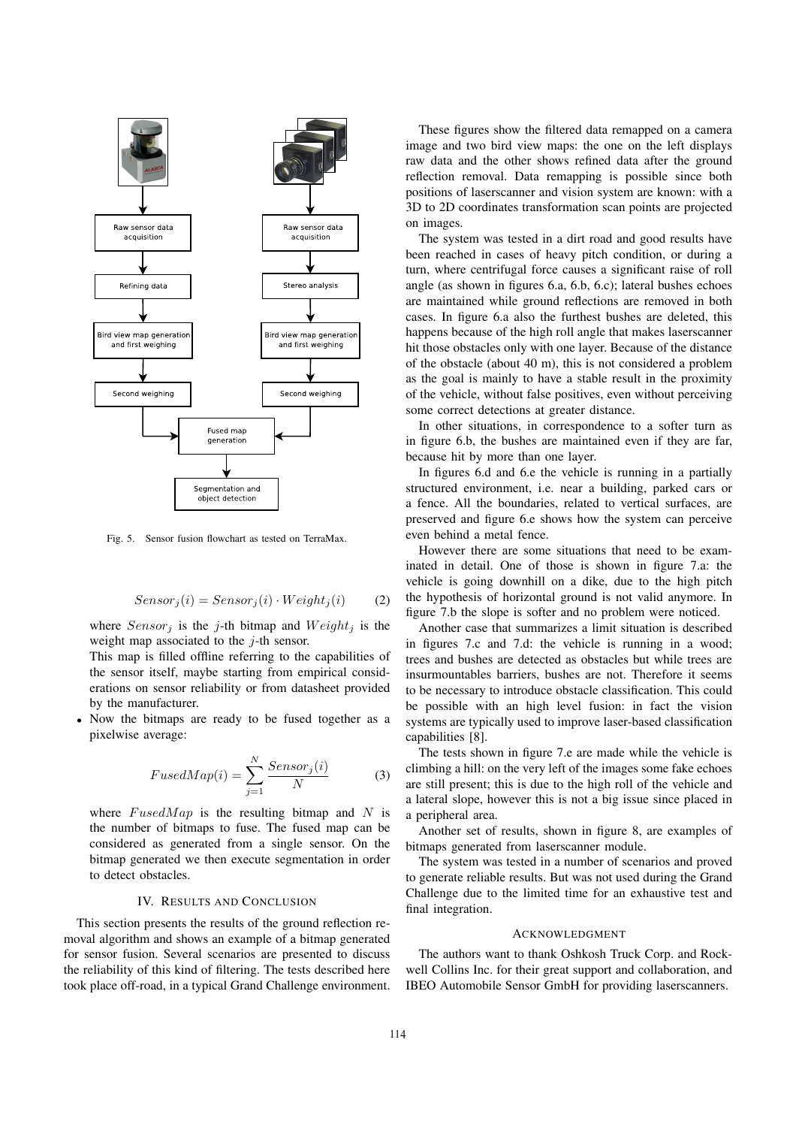

Fig. 5. Sensor fusion flowchart as tested on TerraMax.

$$
Sensor_j(i) = Sensor_j(i) \cdot Weight_j(i) \tag{2}
$$

where  $Sensor_j$  is the j-th bitmap and  $Weight_j$  is the weight map associated to the  $j$ -th sensor.

This map is filled offline referring to the capabilities of the sensor itself, maybe starting from empirical considerations on sensor reliability or from datasheet provided by the manufacturer.

Now the bitmaps are ready to be fused together as a pixelwise average:

$$
FusedMap(i) = \sum_{j=1}^{N} \frac{Sensor_j(i)}{N}
$$
 (3)

where  $FusedMap$  is the resulting bitmap and N is the number of bitmaps to fuse. The fused map can be considered as generated from a single sensor. On the bitmap generated we then execute segmentation in order to detect obstacles.

# IV. RESULTS AND CONCLUSION

This section presents the results of the ground reflection removal algorithm and shows an example of a bitmap generated for sensor fusion. Several scenarios are presented to discuss the reliability of this kind of filtering. The tests described here took place off-road, in a typical Grand Challenge environment.

These figures show the filtered data remapped on a camera image and two bird view maps: the one on the left displays raw data and the other shows refined data after the ground reflection removal. Data remapping is possible since both positions of laserscanner and vision system are known: with a 3D to 2D coordinates transformation scan points are projected on images.

The system was tested in a dirt road and good results have been reached in cases of heavy pitch condition, or during a turn, where centrifugal force causes a significant raise of roll angle (as shown in figures 6.a, 6.b, 6.c); lateral bushes echoes are maintained while ground reflections are removed in both cases. In figure 6.a also the furthest bushes are deleted, this happens because of the high roll angle that makes laserscanner hit those obstacles only with one layer. Because of the distance of the obstacle (about 40 m), this is not considered a problem as the goal is mainly to have a stable result in the proximity of the vehicle, without false positives, even without perceiving some correct detections at greater distance.

In other situations, in correspondence to a softer turn as in figure 6.b, the bushes are maintained even if they are far, because hit by more than one layer.

In figures 6.d and 6.e the vehicle is running in a partially structured environment, i.e. near a building, parked cars or a fence. All the boundaries, related to vertical surfaces, are preserved and figure 6.e shows how the system can perceive even behind a metal fence.

However there are some situations that need to be examinated in detail. One of those is shown in figure 7.a: the vehicle is going downhill on a dike, due to the high pitch the hypothesis of horizontal ground is not valid anymore. In figure 7.b the slope is softer and no problem were noticed.

Another case that summarizes a limit situation is described in figures 7.c and 7.d: the vehicle is running in a wood; trees and bushes are detected as obstacles but while trees are insurmountables barriers, bushes are not. Therefore it seems to be necessary to introduce obstacle classification. This could be possible with an high level fusion: in fact the vision systems are typically used to improve laser-based classification capabilities [8].

The tests shown in figure 7.e are made while the vehicle is climbing a hill: on the very left of the images some fake echoes are still present; this is due to the high roll of the vehicle and a lateral slope, however this is not a big issue since placed in a peripheral area.

Another set of results, shown in figure 8, are examples of bitmaps generated from laserscanner module.

The system was tested in a number of scenarios and proved to generate reliable results. But was not used during the Grand Challenge due to the limited time for an exhaustive test and final integration.

#### ACKNOWLEDGMENT

The authors want to thank Oshkosh Truck Corp. and Rockwell Collins Inc. for their great support and collaboration, and IBEO Automobile Sensor GmbH for providing laserscanners.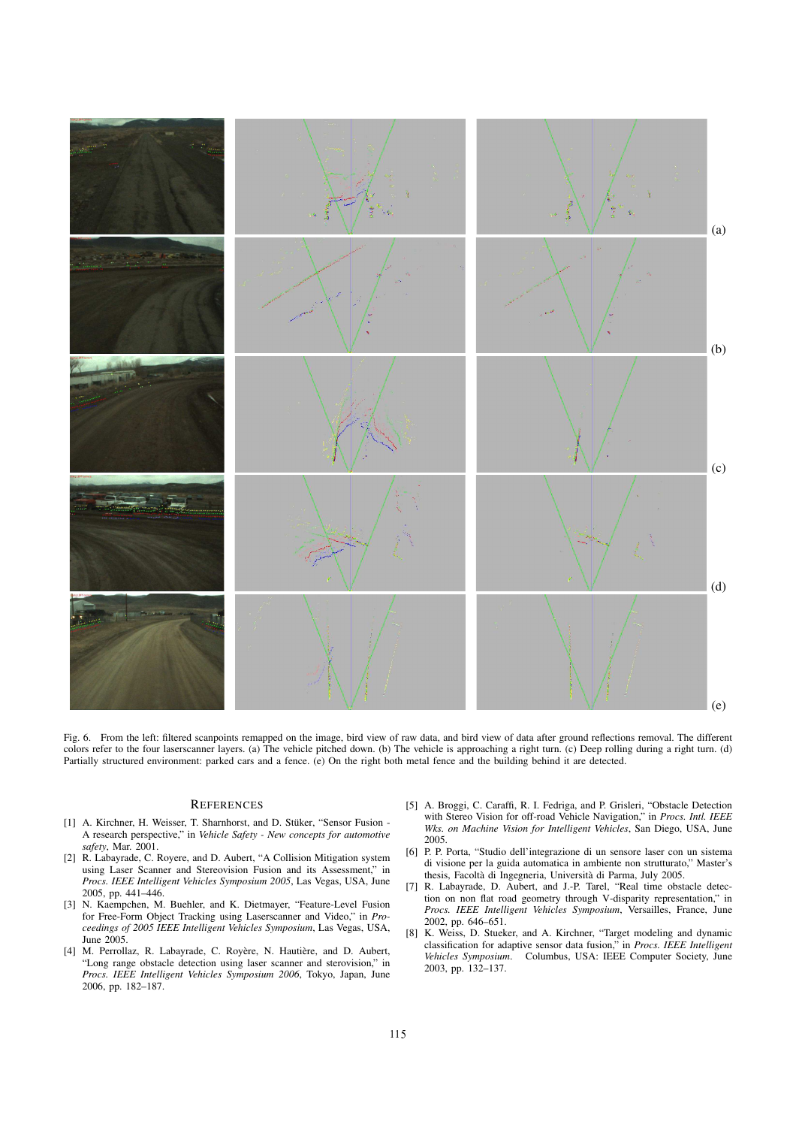

Fig. 6. From the left: filtered scanpoints remapped on the image, bird view of raw data, and bird view of data after ground reflections removal. The different colors refer to the four laserscanner layers. (a) The vehicle pitched down. (b) The vehicle is approaching a right turn. (c) Deep rolling during a right turn. (d) Partially structured environment: parked cars and a fence. (e) On the right both metal fence and the building behind it are detected.

# **REFERENCES**

- [1] A. Kirchner, H. Weisser, T. Sharnhorst, and D. Stüker, "Sensor Fusion -A research perspective," in *Vehicle Safety - New concepts for automotive safety*, Mar. 2001.
- [2] R. Labayrade, C. Royere, and D. Aubert, "A Collision Mitigation system using Laser Scanner and Stereovision Fusion and its Assessment," in *Procs. IEEE Intelligent Vehicles Symposium 2005*, Las Vegas, USA, June 2005, pp. 441–446.
- [3] N. Kaempchen, M. Buehler, and K. Dietmayer, "Feature-Level Fusion for Free-Form Object Tracking using Laserscanner and Video," in *Proceedings of 2005 IEEE Intelligent Vehicles Symposium*, Las Vegas, USA, June 2005.
- [4] M. Perrollaz, R. Labayrade, C. Royère, N. Hautière, and D. Aubert, "Long range obstacle detection using laser scanner and sterovision," in *Procs. IEEE Intelligent Vehicles Symposium 2006*, Tokyo, Japan, June 2006, pp. 182–187.
- [5] A. Broggi, C. Caraffi, R. I. Fedriga, and P. Grisleri, "Obstacle Detection with Stereo Vision for off-road Vehicle Navigation," in *Procs. Intl. IEEE Wks. on Machine Vision for Intelligent Vehicles*, San Diego, USA, June 2005.
- [6] P. P. Porta, "Studio dell'integrazione di un sensore laser con un sistema di visione per la guida automatica in ambiente non strutturato," Master's thesis, Facolta` di Ingegneria, Universita` di Parma, July 2005.
- [7] R. Labayrade, D. Aubert, and J.-P. Tarel, "Real time obstacle detection on non flat road geometry through V-disparity representation," in *Procs. IEEE Intelligent Vehicles Symposium*, Versailles, France, June 2002, pp. 646–651.
- [8] K. Weiss, D. Stueker, and A. Kirchner, "Target modeling and dynamic classification for adaptive sensor data fusion," in *Procs. IEEE Intelligent Vehicles Symposium*. Columbus, USA: IEEE Computer Society, June 2003, pp. 132–137.